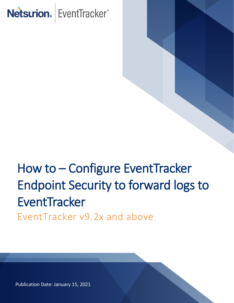# Netsurion. EventTracker®

## How to – Configure EventTracker Endpoint Security to forward logs to **EventTracker** EventTracker v9.2x and above

Publication Date: January 15, 2021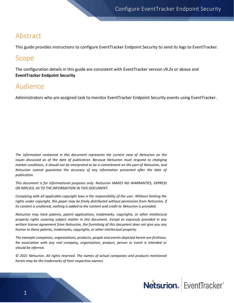#### Abstract

This guide provides instructions to configure EventTracker Endpoint Security to send its logs to EventTracker.

#### Scope

The configuration details in this guide are consistent with EventTracker version v9.2x or above and **EventTracker Endpoint Security**

#### Audience

Administrators who are assigned task to monitor EventTracker Endpoint Security events using EventTracker.

*The information contained in this document represents the current view of Netsurion on the issues discussed as of the date of publication. Because Netsurion must respond to changing market conditions, it should not be interpreted to be a commitment on the part of Netsurion, and Netsurion cannot guarantee the accuracy of any information presented after the date of publication.* 

*This document is for informational purposes only. Netsurion MAKES NO WARRANTIES, EXPRESS OR IMPLIED, AS TO THE INFORMATION IN THIS DOCUMENT.* 

*Complying with all applicable copyright laws is the responsibility of the user. Without limiting the rights under copyright, this paper may be freely distributed without permission from Netsurion, if its content is unaltered, nothing is added to the content and credit to Netsurion is provided.* 

*Netsurion may have patents, patent applications, trademarks, copyrights, or other intellectual property rights covering subject matter in this document. Except as expressly provided in any written license agreement from Netsurion, the furnishing of this document does not give you any license to these patents, trademarks, copyrights, or other intellectual property.* 

*The example companies, organizations, products, people and events depicted herein are fictitious. No association with any real company, organization, product, person or event is intended or should be inferred.* 

*© 2021 Netsurion. All rights reserved. The names of actual companies and products mentioned herein may be the trademarks of their respective owners.*

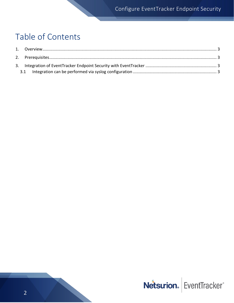## Table of Contents

<span id="page-2-0"></span>

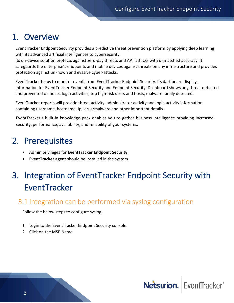### 1. Overview

EventTracker Endpoint Security provides a predictive threat prevention platform by applying deep learning with its advanced artificial intelligences to cybersecurity.

Its on-device solution protects against zero-day threats and APT attacks with unmatched accuracy. It safeguards the enterprise's endpoints and mobile devices against threats on any infrastructure and provides protection against unknown and evasive cyber-attacks.

EventTracker helps to monitor events from EventTracker Endpoint Security. Its dashboard displays information for EventTracker Endpoint Security and Endpoint Security. Dashboard shows any threat detected and prevented on hosts, login activities, top high-risk users and hosts, malware family detected.

EventTracker reports will provide threat activity, administrator activity and login activity information containing username, hostname, Ip, virus/malware and other important details.

EventTracker's built-in knowledge pack enables you to gather business intelligence providing increased security, performance, availability, and reliability of your systems.

## <span id="page-3-0"></span>2. Prerequisites

- Admin privileges for **EventTracker Endpoint Security**.
- **EventTracker agent** should be installed in the system.

## <span id="page-3-1"></span>3. Integration of EventTracker Endpoint Security with **EventTracker**

#### <span id="page-3-2"></span>3.1 Integration can be performed via syslog configuration

Follow the below steps to configure syslog.

- 1. Login to the EventTracker Endpoint Security console.
- 2. Click on the MSP Name.